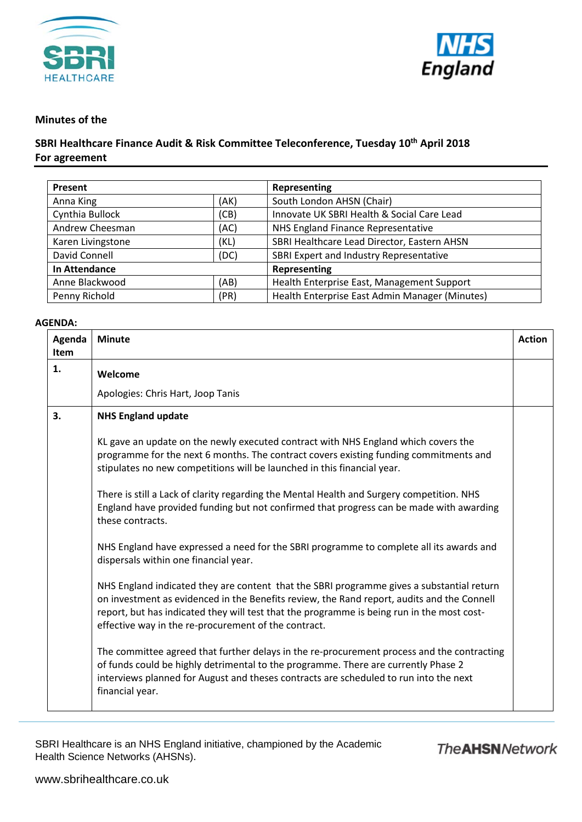



## **Minutes of the**

## **SBRI Healthcare Finance Audit & Risk Committee Teleconference, Tuesday 10th April 2018 For agreement**

| Present              |      | Representing                                   |
|----------------------|------|------------------------------------------------|
| Anna King            | (AK) | South London AHSN (Chair)                      |
| Cynthia Bullock      | (CB) | Innovate UK SBRI Health & Social Care Lead     |
| Andrew Cheesman      | (AC) | NHS England Finance Representative             |
| Karen Livingstone    | (KL) | SBRI Healthcare Lead Director, Eastern AHSN    |
| David Connell        | (DC) | SBRI Expert and Industry Representative        |
| <b>In Attendance</b> |      | Representing                                   |
| Anne Blackwood       | (AB) | Health Enterprise East, Management Support     |
| Penny Richold        | (PR) | Health Enterprise East Admin Manager (Minutes) |

## **AGENDA:**

| Agenda<br><b>Item</b> | <b>Minute</b>                                                                                                                                                                                                                                                                                                                                 | <b>Action</b> |
|-----------------------|-----------------------------------------------------------------------------------------------------------------------------------------------------------------------------------------------------------------------------------------------------------------------------------------------------------------------------------------------|---------------|
| 1.                    | Welcome                                                                                                                                                                                                                                                                                                                                       |               |
|                       | Apologies: Chris Hart, Joop Tanis                                                                                                                                                                                                                                                                                                             |               |
| 3.                    | <b>NHS England update</b>                                                                                                                                                                                                                                                                                                                     |               |
|                       | KL gave an update on the newly executed contract with NHS England which covers the<br>programme for the next 6 months. The contract covers existing funding commitments and<br>stipulates no new competitions will be launched in this financial year.                                                                                        |               |
|                       | There is still a Lack of clarity regarding the Mental Health and Surgery competition. NHS<br>England have provided funding but not confirmed that progress can be made with awarding<br>these contracts.                                                                                                                                      |               |
|                       | NHS England have expressed a need for the SBRI programme to complete all its awards and<br>dispersals within one financial year.                                                                                                                                                                                                              |               |
|                       | NHS England indicated they are content that the SBRI programme gives a substantial return<br>on investment as evidenced in the Benefits review, the Rand report, audits and the Connell<br>report, but has indicated they will test that the programme is being run in the most cost-<br>effective way in the re-procurement of the contract. |               |
|                       | The committee agreed that further delays in the re-procurement process and the contracting<br>of funds could be highly detrimental to the programme. There are currently Phase 2<br>interviews planned for August and theses contracts are scheduled to run into the next<br>financial year.                                                  |               |

SBRI Healthcare is an NHS England initiative, championed by the Academic Health Science Networks (AHSNs).

## **The AHSN Network**